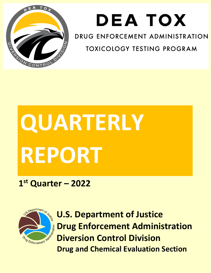

## **DEATOX**

DRUG ENFORCEMENT ADMINISTRATION

**TOXICOLOGY TESTING PROGRAM** 

# **QUARTERLY REPORT**

## **1st Quarter – 2022**



**U.S. Department of Justice Drug Enforcement Administration Diversion Control Division Drug and Chemical Evaluation Section**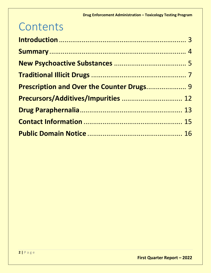## **Contents**

| Prescription and Over the Counter Drugs 9 |  |
|-------------------------------------------|--|
| Precursors/Additives/Impurities  12       |  |
|                                           |  |
|                                           |  |
|                                           |  |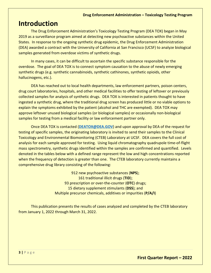## <span id="page-2-0"></span>**Introduction**

The Drug Enforcement Administration's Toxicology Testing Program (DEA TOX) began in May 2019 as a surveillance program aimed at detecting new psychoactive substances within the United States. In response to the ongoing synthetic drug epidemic, the Drug Enforcement Administration (DEA) awarded a contract with the University of California at San Francisco (UCSF) to analyze biological samples generated from overdose victims of synthetic drugs.

In many cases, it can be difficult to ascertain the specific substance responsible for the overdose. The goal of DEA TOX is to connect symptom causation to the abuse of newly emerging synthetic drugs (e.g. synthetic cannabinoids, synthetic cathinones, synthetic opioids, other hallucinogens, etc.).

DEA has reached out to local health departments, law enforcement partners, poison centers, drug court laboratories, hospitals, and other medical facilities to offer testing of leftover or previously collected samples for analysis of synthetic drugs. DEA TOX is interested in patients thought to have ingested a synthetic drug, where the traditional drug screen has produced little or no viable options to explain the symptoms exhibited by the patient (alcohol and THC are exempted). DEA TOX may approve leftover unused biological samples (or biological samples) or occasionally non-biological samples for testing from a medical facility or law enforcement partner only.

Once DEA TOX is contacted (**[DEATOX@DEA.GOV](mailto:DEATOX@DEA.GOV)**) and upon approval by DEA of the request for testing of specific samples, the originating laboratory is invited to send their samples to the Clinical Toxicology and Environmental Biomonitoring (CTEB) Laboratory at UCSF. DEA covers the full cost of analysis for each sample approved for testing. Using liquid chromatography quadrupole time-of-flight mass spectrometry, synthetic drugs identified within the samples are confirmed and quantified. Levels denoted in the tables below with a defined range represent the low and high concentrations reported when the frequency of detection is greater than one. The CTEB laboratory currently maintains a comprehensive drug library consisting of the following:

> 912 new psychoactive substances (**NPS**); 161 traditional illicit drugs (**TID**); 93 prescription or over-the-counter (**OTC**) drugs; 15 dietary supplement stimulants (**DSS**); and Multiple precursor chemicals, additives or impurities (**P/A/I**)

This publication presents the results of cases analyzed and completed by the CTEB laboratory from January 1, 2022 through March 31, 2022.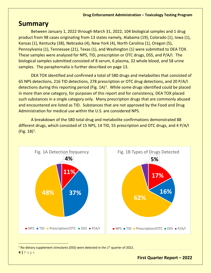## <span id="page-3-0"></span>**Summary**

Between January 1, 2022 through March 31, 2022, 104 biological samples and 1 drug product from 98 cases originating from 13 states namely, Alabama (19), Colorado (1), Iowa (1), Kansas (1), Kentucky (38), Nebraska (4), New York (4), North Carolina (1), Oregon (5), Pennsylvania (1), Tennessee (21), Texas (1), and Washington (1) were submitted to DEA TOX. These samples were analyzed for NPS, TID, prescription or OTC drugs, DSS, and P/A/I. The biological samples submitted consisted of 8 serum, 6 plasma, 32 whole blood, and 58 urine samples. The paraphernalia is further described on page 13.

DEA TOX identified and confirmed a total of 580 drugs and metabolites that consisted of 65 NPS detections, 216 TID detections, 278 prescription or OTC drug detections, and 20 P/A/I detections during this reporting period (Fig.  $1A$  $1A$ )<sup>1</sup>. While some drugs identified could be placed in more than one category, for purposes of this report and for consistency, DEA TOX placed such substances in a single category only. Many prescription drugs that are commonly abused and encountered are listed as TID. Substances that are not approved by the Food and Drug Administration for medical use within the U.S. are considered NPS.

A breakdown of the 580 total drug and metabolite confirmations demonstrated 88 different drugs, which consisted of 15 NPS, 14 TID, 55 prescription and OTC drugs, and 4 P/A/I  $(Fig. 1B)^1$ .



<span id="page-3-1"></span><sup>1</sup> No dietary supplement stimulants (DSS) were detected in the  $1<sup>st</sup>$  quarter of 2022.

**4 |** Page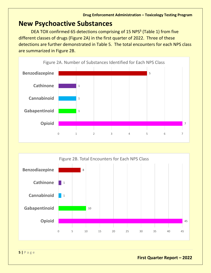## <span id="page-4-0"></span>**New Psychoactive Substances**

DEA TOX confirmed 65 detections comprising of 15 NPS<sup>§</sup> (Table 1) from five different classes of drugs (Figure 2A) in the first quarter of 2022. Three of these detections are further demonstrated in Table 5. The total encounters for each NPS class are summarized in Figure 2B.





**5 |** Page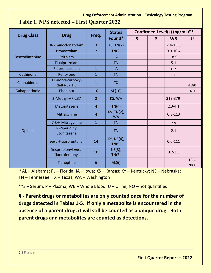#### **Drug Enforcement Administration – Toxicology Testing Program**

|  |  | Table 1. NPS detected – First Quarter 2022 |  |  |  |
|--|--|--------------------------------------------|--|--|--|
|--|--|--------------------------------------------|--|--|--|

|                   |                                      |                | <b>States</b>           |              | Confirmed Level(s) (ng/mL)** |              |                 |  |
|-------------------|--------------------------------------|----------------|-------------------------|--------------|------------------------------|--------------|-----------------|--|
| <b>Drug Class</b> | <b>Drug</b>                          | Freq.          | Found*                  | $\mathsf{S}$ | P                            | <b>WB</b>    | $\mathsf{U}$    |  |
|                   | 8-Aminoclonazolam                    | $\overline{3}$ | $KS$ , TN $(2)$         |              |                              | $2.4 - 13.8$ |                 |  |
|                   | <b>Bromazolam</b>                    | $\overline{2}$ | TN(2)                   |              |                              | $0.9 - 10.4$ |                 |  |
| Benzodiazepine    | Etizolam                             | $\overline{1}$ | <b>IA</b>               |              |                              | 18.5         |                 |  |
|                   | Flualprazolam                        | $\mathbf{1}$   | <b>TN</b>               |              |                              | 5.1          |                 |  |
|                   | Flubromazolam                        | $\overline{1}$ | <b>IA</b>               |              |                              | 0.7          |                 |  |
| Cathinone         | Pentylone                            | $\mathbf{1}$   | <b>TN</b>               |              |                              | 1.1          |                 |  |
| Cannabinoid       | 11-nor-9-carboxy-<br>delta-8-THC     | $\mathbf{1}$   | <b>TX</b>               |              |                              |              | 4580            |  |
| Gabapentinoid     | Phenibut                             | 10             | AL(10)                  |              |                              |              | <b>NQ</b>       |  |
|                   | 2-Methyl-AP-237                      | $\overline{2}$ | KS, WA                  |              |                              | 313-379      |                 |  |
|                   | Metonitazene                         | $\overline{4}$ | TN(4)                   |              |                              | $2.3 - 4.1$  |                 |  |
|                   | Mitragynine                          | $\overline{4}$ | KS, TN(2),<br><b>WA</b> |              |                              | $0.8 - 113$  |                 |  |
|                   | 7-OH Mitragynine                     | $\overline{1}$ | <b>TN</b>               |              |                              | 2.9          |                 |  |
| Opioids           | N-Piperidinyl<br>Etonitazene         | $\mathbf{1}$   | <b>TN</b>               |              |                              | 2.1          |                 |  |
|                   | para-Fluorofentanyl                  | 14             | KY, NE(4),<br>TN(9)     |              |                              | $0.6 - 111$  |                 |  |
|                   | Despropionyl para-<br>fluorofentanyl | 10             | $NE(3)$ ,<br>TN(7)      |              |                              | $0.2 - 3.3$  |                 |  |
|                   | Tianeptine                           | 6              | AL(6)                   |              |                              |              | $135 -$<br>7880 |  |

\* AL – Alabama; FL – Florida; IA – Iowa; KS – Kansas; KY – Kentucky; NE – Nebraska; TN – Tennessee; TX – Texas; WA – Washington

\*\*S – Serum; P – Plasma; WB – Whole Blood; U – Urine; NQ – not quantified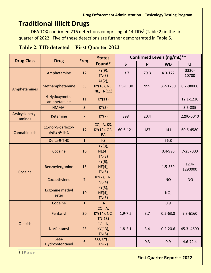## <span id="page-6-0"></span>**Traditional Illicit Drugs**

DEA TOX confirmed 216 detections comprising of 14 TIDs<sup>§</sup> (Table 2) in the first quarter of 2022. Five of these detections are further demonstrated in Table 5.

#### **Table 2. TID detected – First Quarter 2022**

|                           |                                  |                  | <b>States</b>                                 | Confirmed Levels (ng/mL)** |      |              |                     |  |
|---------------------------|----------------------------------|------------------|-----------------------------------------------|----------------------------|------|--------------|---------------------|--|
| <b>Drug Class</b>         | <b>Drug</b>                      | Freq.            | Found*                                        | $\mathsf{S}$               | P    | <b>WB</b>    | $\mathsf{U}$        |  |
| Amphetamines              | Amphetamine                      | 12               | KY(9),<br>TN(3)                               | 13.7                       | 79.3 | $4.3 - 172$  | 3320-<br>10700      |  |
|                           | Methamphetamine                  | 33               | $AL(2)$ ,<br>KY(18), NC,<br><b>NE, TN(11)</b> | 2.5-1130                   | 999  | 3.2-1750     | 8.2-98000           |  |
|                           | 4-Hydoxymeth-<br>amphetamine     | 11               | KY(11)                                        |                            |      |              | 12.1-1230           |  |
|                           | HMMA <sup>‡</sup>                | $\overline{3}$   | KY(3)                                         |                            |      |              | 3.5-835             |  |
| Arylcyclohexyl-<br>amines | Ketamine                         | $\overline{7}$   | KY(7)                                         | 398                        | 20.4 |              | 2290-6040           |  |
| Cannabinoids              | 11-nor-9-carboxy-<br>delta-9-THC | 17               | CO, IA, KS,<br>KY(12), OR,<br>PA              | 60.6-121                   | 187  | 141          | 60.6-4580           |  |
|                           | Delta-9-THC                      | $\mathbf{1}$     | <b>KS</b>                                     |                            |      | 56.8         |                     |  |
| Cocaine                   | Cocaine                          | 10               | KY(3),<br>$NE(4)$ ,<br>TN(3)                  |                            |      | $0.4 - 996$  | 7-257000            |  |
|                           | Benzoylecgonine                  | 15               | KY(6),<br>$NE(4)$ ,<br>TN(5)                  |                            |      | 1.5-559      | $12.4 -$<br>1290000 |  |
|                           | Cocaethylene                     | $\overline{7}$   | KY(2), TN,<br>NE(4)                           |                            |      | <b>NQ</b>    | <b>NQ</b>           |  |
|                           | <b>Ecgonine methyl</b><br>ester  | 10               | KY(3),<br>$NE(4)$ ,<br>TN(3)                  |                            |      | <b>NQ</b>    |                     |  |
|                           | Codeine                          | $\mathbf{1}$     | <b>TN</b>                                     |                            |      | 0.9          |                     |  |
| <b>Opioids</b>            | Fentanyl                         | 30               | CO, IA,<br>KY(14), NC,<br>TN(13)              | $1.9 - 7.5$                | 3.7  | $0.5 - 63.8$ | 9.3-6160            |  |
|                           | Norfentanyl                      | 23               | CO, IA,<br>KY(13),<br>TN(8)                   | $1.8 - 2.1$                | 3.4  | $0.2 - 20.6$ | 45.3-4600           |  |
|                           | Beta-<br>Hydroxyfentanyl         | $\boldsymbol{6}$ | CO, KY(3),<br>TN(2)                           |                            | 0.3  | 0.9          | $4.6 - 72.4$        |  |

**7 |** Page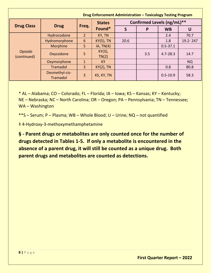| Drug Enforcement Administration - Toxicology Testing Program |                            |                |                 |      |                            |              |           |  |
|--------------------------------------------------------------|----------------------------|----------------|-----------------|------|----------------------------|--------------|-----------|--|
|                                                              |                            |                | <b>States</b>   |      | Confirmed Levels (ng/mL)** |              |           |  |
| <b>Drug Class</b>                                            | <b>Drug</b>                | Freq.          | Found*          | S    | P                          | <b>WB</b>    | U         |  |
|                                                              | Hydrocodone                | $\overline{2}$ | KY, TN          |      |                            | 2.4          | 70.7      |  |
| <b>Opioids</b><br>(continued)                                | Hydromorphone              | 6              | $KY(5)$ , TN    | 20.6 |                            | 1.8          | 19.2-247  |  |
|                                                              | Morphine                   | 5              | IA, TN(4)       |      |                            | $0.5 - 37.1$ |           |  |
|                                                              | Oxycodone                  | 5              | KY(3),<br>TN(2) |      | 3.5                        | $4.7 - 28.3$ | 14.7      |  |
|                                                              | Oxymorphone                | $\mathbf{1}$   | <b>KY</b>       |      |                            |              | <b>NQ</b> |  |
|                                                              | Tramadol                   | $\overline{3}$ | $KY(2)$ , TN    |      |                            | 0.8          | 80.8      |  |
|                                                              | Desmethyl-cis-<br>Tramadol | 3              | KS, KY, TN      |      |                            | $0.5 - 10.9$ | 58.3      |  |

\* AL – Alabama; CO – Colorado; FL – Florida; IA – Iowa; KS – Kansas; KY – Kentucky; NE – Nebraska; NC – North Carolina; OR – Oregon; PA – Pennsylvania; TN – Tennessee; WA – Washington

\*\*S – Serum; P – Plasma; WB – Whole Blood; U – Urine; NQ – not quantified

‡ 4-Hydroxy-3-methoxymethamphetamine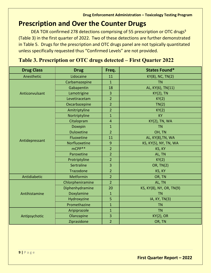## <span id="page-8-0"></span>**Prescription and Over the Counter Drugs**

DEA TOX confirmed 278 detections comprising of 55 prescription or OTC drugs<sup>§</sup> (Table 3) in the first quarter of 2022. Two of these detections are further demonstrated in Table 5. Drugs for the prescription and OTC drugs panel are not typically quantitated unless specifically requested thus "Confirmed Levels" are not provided.

| <b>Drug Class</b> | <b>Drug</b>       | Freq.                   | <b>States Found*</b>     |
|-------------------|-------------------|-------------------------|--------------------------|
| Anesthetic        | Lidocaine         | 11                      | KY(8), NC, TN(2)         |
|                   | Carbamazepine     | $\overline{1}$          | <b>TN</b>                |
|                   | Gabapentin        | 18                      | AL, KY(6), TN(11)        |
| Anticonvulsant    | Lamotrigine       | 3                       | <b>KY(2), TN</b>         |
|                   | Levetiracetam     | $\overline{2}$          | KY(2)                    |
|                   | Oxcarbazepine     | $\overline{2}$          | TN(2)                    |
|                   | Amitriptyline     | $\overline{2}$          | KY(2)                    |
|                   | Nortriptyline     | $\mathbf{1}$            | <b>KY</b>                |
|                   | Citalopram        | $\overline{\mathbf{4}}$ | <b>KY(2), TN, WA</b>     |
|                   | Doxepin           | $\mathbf{1}$            | <b>TN</b>                |
|                   | <b>Duloxetine</b> | $\overline{2}$          | OH, TN                   |
|                   | Fluoxetine        | 11                      | AL, KY(8), TN, WA        |
| Antidepressant    | Norfluoxetine     | 9                       | KS, KY(5), NY, TN, WA    |
|                   | $m$ CPP $**$      | $\overline{2}$          | KS, KY                   |
|                   | Paroxetine        | $\overline{2}$          | AL, TN                   |
|                   | Protriptyline     | $\overline{2}$          | KY(2)                    |
|                   | Sertraline        | 3                       | <b>OR, TN(2)</b>         |
|                   | Trazodone         | $\overline{2}$          | KS, KY                   |
| Antidiabetic      | Metformin         | $\overline{2}$          | OR, TN                   |
|                   | Chlorpheniramine  | $\overline{2}$          | AL, TN                   |
|                   | Diphenhydramine   | 20                      | KS, KY(8), NY, OR, TN(9) |
| Antihistamine     | Doxylamine        | $\mathbf{1}$            | <b>TN</b>                |
|                   | Hydroxyzine       | 5                       | IA, KY, TN(3)            |
|                   | Promethazine      | $\mathbf{1}$            | <b>TN</b>                |
|                   | Aripiprazole      | $\mathbf{1}$            | <b>TN</b>                |
| Antipsychotic     | Olanzapine        | 3                       | $KY(2)$ , OR             |
|                   | Ziprasidone       | $\overline{2}$          | OR, TN                   |

### **Table 3. Prescription or OTC drugs detected – First Quarter 2022**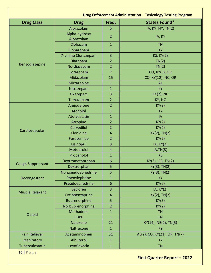| <b>States Found*</b><br><b>Drug Class</b><br><b>Drug</b><br>Freq.<br>Alprazolam<br>IA. KY, NY, TN(2)<br>5<br>Alpha-hydroxy<br>$\overline{2}$<br>IA, KY<br>Alprazolam<br>Clobazam<br>$\mathbf{1}$<br><b>TN</b><br>Clonazepam<br>$\mathbf{1}$<br><b>KY</b><br>7-amino Clonazepam<br>3<br><b>KS, KY(2)</b><br>$\overline{2}$<br>TN(2)<br>Diazepam<br>Benzodiazepine<br>Nordiazepam<br>$\overline{2}$<br>TN(2)<br>$\overline{7}$<br>CO, KY(5), OR<br>Lorazepam<br>Midazolam<br>15<br>CO, KY(12), NC, OR<br>Mirtazapine<br>1<br><b>AL</b><br><b>KY</b><br>Nitrazepam<br>$\mathbf{1}$<br>3<br>Oxazepam<br><b>KY(2), NC</b><br>$\overline{2}$<br>KY, NC<br>Temazepam<br>Amiodarone<br>$\overline{2}$<br>KY(2)<br>Atenolol<br><b>KY</b><br>$\mathbf{1}$<br>Atorvastatin<br>$\mathbf{1}$<br>IA<br>$\overline{2}$<br>KY(2)<br>Atropine<br>Carvedilol<br>$\overline{2}$<br>KY(2)<br>Cardiovascular<br>Clonidine<br>KY(2), TN(2)<br>$\overline{4}$<br>Furosemide<br>$\overline{2}$<br>KY(2)<br>Lisinopril<br>3<br>IA, KY(2)<br>Metoprolol<br>IA, TN(3)<br>4<br>Propanolol<br>$\mathbf{1}$<br><b>KS</b><br>Dextromethorphan<br>6<br>KY(3), OR, TN(2)<br><b>Cough Suppressant</b><br>Dextrorphan<br>5<br>KY(3), TN(2)<br>Norpseudoephedrine<br>5<br>$KY(3)$ , TN $(2)$<br>Phenylephrine<br>$\mathbf{1}$<br><b>KY</b><br>Decongestant<br>Pseudoephedrine<br>6<br>KY(6)<br>3<br><b>Baclofen</b><br>IA, KY(2)<br><b>Muscle Relaxant</b><br>Cyclobenzaprine<br>4<br>$KY(2)$ , TN $(2)$<br>5<br>Buprenorphine<br>KY(5)<br>Norbuprenorphine<br>$\overline{2}$<br>KY(2)<br><b>Methadone</b><br>$\mathbf{1}$<br><b>TN</b><br>Opioid<br><b>EDPP</b><br>$\mathbf{1}$<br><b>TN</b><br>Naloxone<br>21<br>KY(14), NE(2), TN(5)<br>Naltrexone<br>1<br><b>KY</b><br>31<br>AL(2), CO, KY(21), OR, TN(7)<br>Pain Reliever<br>Acetaminophen<br>Albuterol<br>Respiratory<br>$\mathbf{1}$<br><b>KY</b> | Drug Enforcement Administration - Toxicology Testing Program |              |              |           |  |  |  |
|----------------------------------------------------------------------------------------------------------------------------------------------------------------------------------------------------------------------------------------------------------------------------------------------------------------------------------------------------------------------------------------------------------------------------------------------------------------------------------------------------------------------------------------------------------------------------------------------------------------------------------------------------------------------------------------------------------------------------------------------------------------------------------------------------------------------------------------------------------------------------------------------------------------------------------------------------------------------------------------------------------------------------------------------------------------------------------------------------------------------------------------------------------------------------------------------------------------------------------------------------------------------------------------------------------------------------------------------------------------------------------------------------------------------------------------------------------------------------------------------------------------------------------------------------------------------------------------------------------------------------------------------------------------------------------------------------------------------------------------------------------------------------------------------------------------------------------------------------------------------|--------------------------------------------------------------|--------------|--------------|-----------|--|--|--|
|                                                                                                                                                                                                                                                                                                                                                                                                                                                                                                                                                                                                                                                                                                                                                                                                                                                                                                                                                                                                                                                                                                                                                                                                                                                                                                                                                                                                                                                                                                                                                                                                                                                                                                                                                                                                                                                                      |                                                              |              |              |           |  |  |  |
|                                                                                                                                                                                                                                                                                                                                                                                                                                                                                                                                                                                                                                                                                                                                                                                                                                                                                                                                                                                                                                                                                                                                                                                                                                                                                                                                                                                                                                                                                                                                                                                                                                                                                                                                                                                                                                                                      |                                                              |              |              |           |  |  |  |
|                                                                                                                                                                                                                                                                                                                                                                                                                                                                                                                                                                                                                                                                                                                                                                                                                                                                                                                                                                                                                                                                                                                                                                                                                                                                                                                                                                                                                                                                                                                                                                                                                                                                                                                                                                                                                                                                      |                                                              |              |              |           |  |  |  |
|                                                                                                                                                                                                                                                                                                                                                                                                                                                                                                                                                                                                                                                                                                                                                                                                                                                                                                                                                                                                                                                                                                                                                                                                                                                                                                                                                                                                                                                                                                                                                                                                                                                                                                                                                                                                                                                                      |                                                              |              |              |           |  |  |  |
|                                                                                                                                                                                                                                                                                                                                                                                                                                                                                                                                                                                                                                                                                                                                                                                                                                                                                                                                                                                                                                                                                                                                                                                                                                                                                                                                                                                                                                                                                                                                                                                                                                                                                                                                                                                                                                                                      |                                                              |              |              |           |  |  |  |
|                                                                                                                                                                                                                                                                                                                                                                                                                                                                                                                                                                                                                                                                                                                                                                                                                                                                                                                                                                                                                                                                                                                                                                                                                                                                                                                                                                                                                                                                                                                                                                                                                                                                                                                                                                                                                                                                      |                                                              |              |              |           |  |  |  |
|                                                                                                                                                                                                                                                                                                                                                                                                                                                                                                                                                                                                                                                                                                                                                                                                                                                                                                                                                                                                                                                                                                                                                                                                                                                                                                                                                                                                                                                                                                                                                                                                                                                                                                                                                                                                                                                                      |                                                              |              |              |           |  |  |  |
|                                                                                                                                                                                                                                                                                                                                                                                                                                                                                                                                                                                                                                                                                                                                                                                                                                                                                                                                                                                                                                                                                                                                                                                                                                                                                                                                                                                                                                                                                                                                                                                                                                                                                                                                                                                                                                                                      |                                                              |              |              |           |  |  |  |
|                                                                                                                                                                                                                                                                                                                                                                                                                                                                                                                                                                                                                                                                                                                                                                                                                                                                                                                                                                                                                                                                                                                                                                                                                                                                                                                                                                                                                                                                                                                                                                                                                                                                                                                                                                                                                                                                      |                                                              |              |              |           |  |  |  |
|                                                                                                                                                                                                                                                                                                                                                                                                                                                                                                                                                                                                                                                                                                                                                                                                                                                                                                                                                                                                                                                                                                                                                                                                                                                                                                                                                                                                                                                                                                                                                                                                                                                                                                                                                                                                                                                                      |                                                              |              |              |           |  |  |  |
|                                                                                                                                                                                                                                                                                                                                                                                                                                                                                                                                                                                                                                                                                                                                                                                                                                                                                                                                                                                                                                                                                                                                                                                                                                                                                                                                                                                                                                                                                                                                                                                                                                                                                                                                                                                                                                                                      |                                                              |              |              |           |  |  |  |
|                                                                                                                                                                                                                                                                                                                                                                                                                                                                                                                                                                                                                                                                                                                                                                                                                                                                                                                                                                                                                                                                                                                                                                                                                                                                                                                                                                                                                                                                                                                                                                                                                                                                                                                                                                                                                                                                      |                                                              |              |              |           |  |  |  |
|                                                                                                                                                                                                                                                                                                                                                                                                                                                                                                                                                                                                                                                                                                                                                                                                                                                                                                                                                                                                                                                                                                                                                                                                                                                                                                                                                                                                                                                                                                                                                                                                                                                                                                                                                                                                                                                                      |                                                              |              |              |           |  |  |  |
|                                                                                                                                                                                                                                                                                                                                                                                                                                                                                                                                                                                                                                                                                                                                                                                                                                                                                                                                                                                                                                                                                                                                                                                                                                                                                                                                                                                                                                                                                                                                                                                                                                                                                                                                                                                                                                                                      |                                                              |              |              |           |  |  |  |
|                                                                                                                                                                                                                                                                                                                                                                                                                                                                                                                                                                                                                                                                                                                                                                                                                                                                                                                                                                                                                                                                                                                                                                                                                                                                                                                                                                                                                                                                                                                                                                                                                                                                                                                                                                                                                                                                      |                                                              |              |              |           |  |  |  |
|                                                                                                                                                                                                                                                                                                                                                                                                                                                                                                                                                                                                                                                                                                                                                                                                                                                                                                                                                                                                                                                                                                                                                                                                                                                                                                                                                                                                                                                                                                                                                                                                                                                                                                                                                                                                                                                                      |                                                              |              |              |           |  |  |  |
|                                                                                                                                                                                                                                                                                                                                                                                                                                                                                                                                                                                                                                                                                                                                                                                                                                                                                                                                                                                                                                                                                                                                                                                                                                                                                                                                                                                                                                                                                                                                                                                                                                                                                                                                                                                                                                                                      |                                                              |              |              |           |  |  |  |
|                                                                                                                                                                                                                                                                                                                                                                                                                                                                                                                                                                                                                                                                                                                                                                                                                                                                                                                                                                                                                                                                                                                                                                                                                                                                                                                                                                                                                                                                                                                                                                                                                                                                                                                                                                                                                                                                      |                                                              |              |              |           |  |  |  |
|                                                                                                                                                                                                                                                                                                                                                                                                                                                                                                                                                                                                                                                                                                                                                                                                                                                                                                                                                                                                                                                                                                                                                                                                                                                                                                                                                                                                                                                                                                                                                                                                                                                                                                                                                                                                                                                                      |                                                              |              |              |           |  |  |  |
|                                                                                                                                                                                                                                                                                                                                                                                                                                                                                                                                                                                                                                                                                                                                                                                                                                                                                                                                                                                                                                                                                                                                                                                                                                                                                                                                                                                                                                                                                                                                                                                                                                                                                                                                                                                                                                                                      |                                                              |              |              |           |  |  |  |
|                                                                                                                                                                                                                                                                                                                                                                                                                                                                                                                                                                                                                                                                                                                                                                                                                                                                                                                                                                                                                                                                                                                                                                                                                                                                                                                                                                                                                                                                                                                                                                                                                                                                                                                                                                                                                                                                      |                                                              |              |              |           |  |  |  |
|                                                                                                                                                                                                                                                                                                                                                                                                                                                                                                                                                                                                                                                                                                                                                                                                                                                                                                                                                                                                                                                                                                                                                                                                                                                                                                                                                                                                                                                                                                                                                                                                                                                                                                                                                                                                                                                                      |                                                              |              |              |           |  |  |  |
|                                                                                                                                                                                                                                                                                                                                                                                                                                                                                                                                                                                                                                                                                                                                                                                                                                                                                                                                                                                                                                                                                                                                                                                                                                                                                                                                                                                                                                                                                                                                                                                                                                                                                                                                                                                                                                                                      |                                                              |              |              |           |  |  |  |
|                                                                                                                                                                                                                                                                                                                                                                                                                                                                                                                                                                                                                                                                                                                                                                                                                                                                                                                                                                                                                                                                                                                                                                                                                                                                                                                                                                                                                                                                                                                                                                                                                                                                                                                                                                                                                                                                      |                                                              |              |              |           |  |  |  |
|                                                                                                                                                                                                                                                                                                                                                                                                                                                                                                                                                                                                                                                                                                                                                                                                                                                                                                                                                                                                                                                                                                                                                                                                                                                                                                                                                                                                                                                                                                                                                                                                                                                                                                                                                                                                                                                                      |                                                              |              |              |           |  |  |  |
|                                                                                                                                                                                                                                                                                                                                                                                                                                                                                                                                                                                                                                                                                                                                                                                                                                                                                                                                                                                                                                                                                                                                                                                                                                                                                                                                                                                                                                                                                                                                                                                                                                                                                                                                                                                                                                                                      |                                                              |              |              |           |  |  |  |
|                                                                                                                                                                                                                                                                                                                                                                                                                                                                                                                                                                                                                                                                                                                                                                                                                                                                                                                                                                                                                                                                                                                                                                                                                                                                                                                                                                                                                                                                                                                                                                                                                                                                                                                                                                                                                                                                      |                                                              |              |              |           |  |  |  |
|                                                                                                                                                                                                                                                                                                                                                                                                                                                                                                                                                                                                                                                                                                                                                                                                                                                                                                                                                                                                                                                                                                                                                                                                                                                                                                                                                                                                                                                                                                                                                                                                                                                                                                                                                                                                                                                                      |                                                              |              |              |           |  |  |  |
|                                                                                                                                                                                                                                                                                                                                                                                                                                                                                                                                                                                                                                                                                                                                                                                                                                                                                                                                                                                                                                                                                                                                                                                                                                                                                                                                                                                                                                                                                                                                                                                                                                                                                                                                                                                                                                                                      |                                                              |              |              |           |  |  |  |
|                                                                                                                                                                                                                                                                                                                                                                                                                                                                                                                                                                                                                                                                                                                                                                                                                                                                                                                                                                                                                                                                                                                                                                                                                                                                                                                                                                                                                                                                                                                                                                                                                                                                                                                                                                                                                                                                      |                                                              |              |              |           |  |  |  |
|                                                                                                                                                                                                                                                                                                                                                                                                                                                                                                                                                                                                                                                                                                                                                                                                                                                                                                                                                                                                                                                                                                                                                                                                                                                                                                                                                                                                                                                                                                                                                                                                                                                                                                                                                                                                                                                                      |                                                              |              |              |           |  |  |  |
|                                                                                                                                                                                                                                                                                                                                                                                                                                                                                                                                                                                                                                                                                                                                                                                                                                                                                                                                                                                                                                                                                                                                                                                                                                                                                                                                                                                                                                                                                                                                                                                                                                                                                                                                                                                                                                                                      |                                                              |              |              |           |  |  |  |
|                                                                                                                                                                                                                                                                                                                                                                                                                                                                                                                                                                                                                                                                                                                                                                                                                                                                                                                                                                                                                                                                                                                                                                                                                                                                                                                                                                                                                                                                                                                                                                                                                                                                                                                                                                                                                                                                      |                                                              |              |              |           |  |  |  |
|                                                                                                                                                                                                                                                                                                                                                                                                                                                                                                                                                                                                                                                                                                                                                                                                                                                                                                                                                                                                                                                                                                                                                                                                                                                                                                                                                                                                                                                                                                                                                                                                                                                                                                                                                                                                                                                                      |                                                              |              |              |           |  |  |  |
|                                                                                                                                                                                                                                                                                                                                                                                                                                                                                                                                                                                                                                                                                                                                                                                                                                                                                                                                                                                                                                                                                                                                                                                                                                                                                                                                                                                                                                                                                                                                                                                                                                                                                                                                                                                                                                                                      |                                                              |              |              |           |  |  |  |
|                                                                                                                                                                                                                                                                                                                                                                                                                                                                                                                                                                                                                                                                                                                                                                                                                                                                                                                                                                                                                                                                                                                                                                                                                                                                                                                                                                                                                                                                                                                                                                                                                                                                                                                                                                                                                                                                      |                                                              |              |              |           |  |  |  |
|                                                                                                                                                                                                                                                                                                                                                                                                                                                                                                                                                                                                                                                                                                                                                                                                                                                                                                                                                                                                                                                                                                                                                                                                                                                                                                                                                                                                                                                                                                                                                                                                                                                                                                                                                                                                                                                                      |                                                              |              |              |           |  |  |  |
|                                                                                                                                                                                                                                                                                                                                                                                                                                                                                                                                                                                                                                                                                                                                                                                                                                                                                                                                                                                                                                                                                                                                                                                                                                                                                                                                                                                                                                                                                                                                                                                                                                                                                                                                                                                                                                                                      |                                                              |              |              |           |  |  |  |
|                                                                                                                                                                                                                                                                                                                                                                                                                                                                                                                                                                                                                                                                                                                                                                                                                                                                                                                                                                                                                                                                                                                                                                                                                                                                                                                                                                                                                                                                                                                                                                                                                                                                                                                                                                                                                                                                      |                                                              |              |              |           |  |  |  |
|                                                                                                                                                                                                                                                                                                                                                                                                                                                                                                                                                                                                                                                                                                                                                                                                                                                                                                                                                                                                                                                                                                                                                                                                                                                                                                                                                                                                                                                                                                                                                                                                                                                                                                                                                                                                                                                                      | Tuberculostatic                                              | Levofloxacin | $\mathbf{1}$ | <b>TN</b> |  |  |  |

**10 |** Page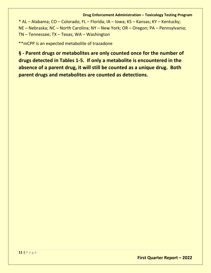#### **Drug Enforcement Administration – Toxicology Testing Program**

\* AL – Alabama; CO – Colorado; FL – Florida; IA – Iowa; KS – Kansas; KY – Kentucky; NE – Nebraska; NC – North Carolina; NY – New York; OR – Oregon; PA – Pennsylvania; TN – Tennessee; TX – Texas; WA – Washington

\*\*mCPP is an expected metabolite of trazadone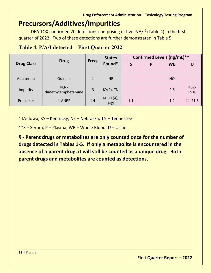## <span id="page-11-0"></span>**Precursors/Additives/Impurities**

DEA TOX confirmed 20 detections comprising of five  $P/A/I^6$  (Table 4) in the first quarter of 2022. Two of these detections are further demonstrated in Table 5.

|                   |                                |              | <b>States</b>       |     | Confirmed Levels (ng/mL)** |           |                 |  |
|-------------------|--------------------------------|--------------|---------------------|-----|----------------------------|-----------|-----------------|--|
| <b>Drug Class</b> | <b>Drug</b>                    | Freq.        | Found*              |     | P                          | <b>WB</b> |                 |  |
| Adulterant        | Quinine                        | $\mathbf{1}$ | <b>NE</b>           |     |                            | <b>NQ</b> |                 |  |
| Impurity          | $N, N-$<br>dimethylamphetamine | 3            | $KY(2)$ , TN        |     |                            | 2.6       | $462 -$<br>1510 |  |
| Precursor         | 4-ANPP                         | 14           | IA, KY(4),<br>TN(9) | 1.1 |                            | 1.2       | $11 - 21.3$     |  |

### **Table 4. P/A/I detected – First Quarter 2022**

\* IA- Iowa; KY – Kentucky; NE – Nebraska; TN – Tennessee

\*\*S – Serum; P – Plasma; WB – Whole Blood; U – Urine.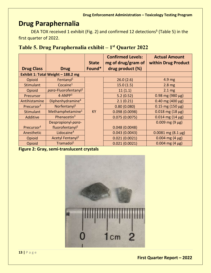## <span id="page-12-0"></span>**Drug Paraphernalia**

DEA TOX received 1 exhibit (Fig. 2) and confirmed 12 detections<sup>§</sup> (Table 5) in the first quarter of 2022.

| Table 5. Drug Paraphernalia exhibit - 1 <sup>st</sup> Quarter 2022 |  |  |
|--------------------------------------------------------------------|--|--|
|                                                                    |  |  |

|                        |                                    | <b>State</b> | <b>Confirmed Levels:</b><br>mg of drug/gram of | <b>Actual Amount</b><br>within Drug Product |
|------------------------|------------------------------------|--------------|------------------------------------------------|---------------------------------------------|
| <b>Drug Class</b>      | <b>Drug</b>                        | Found*       | drug product (%)                               |                                             |
|                        | Exhibit 1: Total Weight - 188.2 mg |              |                                                |                                             |
| Opioid                 | Fentanyl <sup>1</sup>              |              | 26.0(2.6)                                      | 4.9 mg                                      |
| Stimulant              | Cocaine $1$                        |              | 15.0(1.5)                                      | 2.8 <sub>mg</sub>                           |
| Opioid                 | para-Fluorofentanyl <sup>2</sup>   |              | 11(1.1)                                        | $2.1 \text{ mg}$                            |
| Precursor              | $4 - ANDP3$                        |              | 5.2(0.52)                                      | $0.98$ mg (980 µg)                          |
| Antihistamine          | Diphenhydramine <sup>4</sup>       |              | 2.1(0.21)                                      | $0.40$ mg (400 µg)                          |
| Precursor <sup>#</sup> | Norfentany <sup>1</sup>            |              | 0.80(0.080)                                    | $0.15$ mg (150 µg)                          |
| Stimulant              | Methamphetamine <sup>1</sup>       | <b>KY</b>    | 0.098(0.0098)                                  | $0.018$ mg (18 µg)                          |
| Additive               | Phenacetin <sup>3</sup>            |              | 0.075(0.0075)                                  | $0.014$ mg (14 µg)                          |
|                        | Despropionyl-para-                 |              |                                                | $0.009$ mg (9 µg)                           |
| Precursor <sup>#</sup> | fluorofentanyl <sup>2</sup>        |              | 0.048(0.0048)                                  |                                             |
| Anesthetic             | Lidocaine $4$                      |              | 0.043(0.0043)                                  | $0.0081$ mg $(8.1 \,\mu g)$                 |
| Opioid                 | Acetyl Fentanyl <sup>2</sup>       |              | 0.021(0.0021)                                  | $0.004$ mg (4 µg)                           |
| Opioid                 | Tramadol <sup>1</sup>              |              | 0.021(0.0021)                                  | $0.004$ mg (4 µg)                           |

**Figure 2: Gray, semi-translucent crystals**

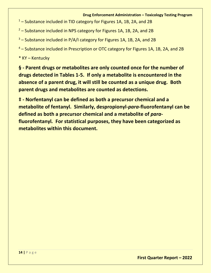#### **Drug Enforcement Administration – Toxicology Testing Program**

- <sup>1</sup> Substance included in TID category for Figures 1A, 1B, 2A, and 2B
- $2$  Substance included in NPS category for Figures 1A, 1B, 2A, and 2B
- <sup>3</sup> Substance included in P/A/I category for Figures 1A, 1B, 2A, and 2B
- <sup>4</sup> Substance included in Prescription or OTC category for Figures 1A, 1B, 2A, and 2B

\* KY – Kentucky

**§ - Parent drugs or metabolites are only counted once for the number of drugs detected in Tables 1-5. If only a metabolite is encountered in the absence of a parent drug, it will still be counted as a unique drug. Both parent drugs and metabolites are counted as detections.** 

**‡ - Norfentanyl can be defined as both a precursor chemical and a metabolite of fentanyl. Similarly, despropionyl-***para***-fluorofentanyl can be defined as both a precursor chemical and a metabolite of** *para***fluorofentanyl***.* **For statistical purposes, they have been categorized as metabolites within this document.**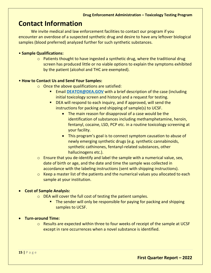## <span id="page-14-0"></span>**Contact Information**

We invite medical and law enforcement facilities to contact our program if you encounter an overdose of a suspected synthetic drug and desire to have any leftover biological samples (blood preferred) analyzed further for such synthetic substances.

#### • **Sample Qualifications:**

 $\circ$  Patients thought to have ingested a synthetic drug, where the traditional drug screen has produced little or no viable options to explain the symptoms exhibited by the patient (alcohol and THC are exempted).

#### • **How to Contact Us and Send Your Samples:**

- $\circ$  Once the above qualifications are satisfied:
	- Email **[DEATOX@DEA.GOV](mailto:DEATOX@DEA.GOV)** with a brief description of the case (including initial toxicology screen and history) and a request for testing.
	- DEA will respond to each inquiry, and if approved, will send the instructions for packing and shipping of sample(s) to UCSF.
		- The main reason for disapproval of a case would be the identification of substances including methamphetamine, heroin, fentanyl, cocaine, LSD, PCP etc. in a routine toxicology screening at your facility.
		- This program's goal is to connect symptom causation to abuse of newly emerging synthetic drugs (e.g. synthetic cannabinoids, synthetic cathinones, fentanyl-related substances, other hallucinogens etc.).
- $\circ$  Ensure that you de-identify and label the sample with a numerical value, sex, date of birth or age, and the date and time the sample was collected in accordance with the labeling instructions (sent with shipping instructions).
- $\circ$  Keep a master list of the patients and the numerical values you allocated to each sample at your institution.

#### • **Cost of Sample Analysis:**

- o DEA will cover the full cost of testing the patient samples.
	- **The sender will only be responsible for paying for packing and shipping** samples to UCSF.

#### • **Turn-around Time:**

o Results are expected within three to four weeks of receipt of the sample at UCSF except in rare occurrences when a novel substance is identified.